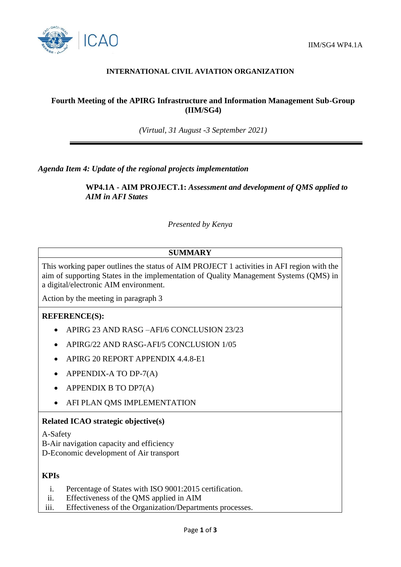

## **INTERNATIONAL CIVIL AVIATION ORGANIZATION**

# **Fourth Meeting of the APIRG Infrastructure and Information Management Sub-Group (IIM/SG4)**

*(Virtual, 31 August -3 September 2021)*

*Agenda Item 4: Update of the regional projects implementation*

**WP4.1A - AIM PROJECT.1:** *Assessment and development of QMS applied to AIM in AFI States*

*Presented by Kenya*

# **SUMMARY**

This working paper outlines the status of AIM PROJECT 1 activities in AFI region with the aim of supporting States in the implementation of Quality Management Systems (QMS) in a digital/electronic AIM environment.

Action by the meeting in paragraph 3

## **REFERENCE(S):**

- APIRG 23 AND RASG –AFI/6 CONCLUSION 23/23
- APIRG/22 AND RASG-AFI/5 CONCLUSION 1/05
- APIRG 20 REPORT APPENDIX 4.4.8-E1
- $\bullet$  APPENDIX-A TO DP-7(A)
- APPENDIX B TO DP7(A)
- AFI PLAN QMS IMPLEMENTATION

## **Related ICAO strategic objective(s)**

A-Safety

B-Air navigation capacity and efficiency

D-Economic development of Air transport

# **KPIs**

- i. Percentage of States with ISO 9001:2015 certification.
- ii. Effectiveness of the QMS applied in AIM
- iii. Effectiveness of the Organization/Departments processes.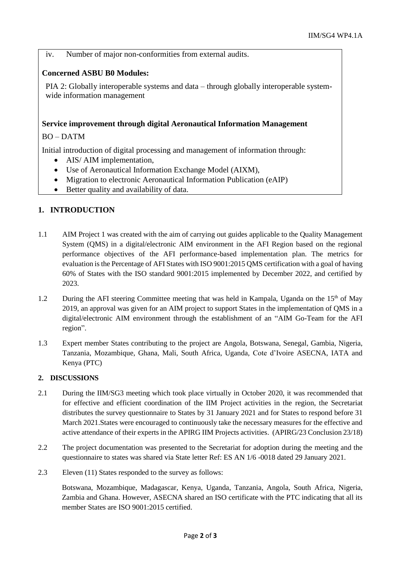iv. Number of major non-conformities from external audits.

#### **Concerned ASBU B0 Modules:**

PIA 2: Globally interoperable systems and data – through globally interoperable systemwide information management

#### **Service improvement through digital Aeronautical Information Management**

BO – DATM

Initial introduction of digital processing and management of information through:

- AIS/ AIM implementation,
- Use of Aeronautical Information Exchange Model (AIXM),
- Migration to electronic Aeronautical Information Publication (eAIP)
- Better quality and availability of data.

## **1. INTRODUCTION**

- 1.1 AIM Project 1 was created with the aim of carrying out guides applicable to the Quality Management System (QMS) in a digital/electronic AIM environment in the AFI Region based on the regional performance objectives of the AFI performance-based implementation plan. The metrics for evaluation is the Percentage of AFI States with ISO 9001:2015 QMS certification with a goal of having 60% of States with the ISO standard 9001:2015 implemented by December 2022, and certified by 2023.
- 1.2 During the AFI steering Committee meeting that was held in Kampala, Uganda on the  $15<sup>th</sup>$  of May 2019, an approval was given for an AIM project to support States in the implementation of QMS in a digital/electronic AIM environment through the establishment of an "AIM Go-Team for the AFI region".
- 1.3 Expert member States contributing to the project are Angola, Botswana, Senegal, Gambia, Nigeria, Tanzania, Mozambique, Ghana, Mali, South Africa, Uganda, Cote d'Ivoire ASECNA, IATA and Kenya (PTC)

#### **2. DISCUSSIONS**

- 2.1 During the IIM/SG3 meeting which took place virtually in October 2020, it was recommended that for effective and efficient coordination of the IIM Project activities in the region, the Secretariat distributes the survey questionnaire to States by 31 January 2021 and for States to respond before 31 March 2021.States were encouraged to continuously take the necessary measures for the effective and active attendance of their experts in the APIRG IIM Projects activities. (APIRG/23 Conclusion 23/18)
- 2.2 The project documentation was presented to the Secretariat for adoption during the meeting and the questionnaire to states was shared via State letter Ref: ES AN 1/6 -0018 dated 29 January 2021.
- 2.3 Eleven (11) States responded to the survey as follows:

Botswana, Mozambique, Madagascar, Kenya, Uganda, Tanzania, Angola, South Africa, Nigeria, Zambia and Ghana. However, ASECNA shared an ISO certificate with the PTC indicating that all its member States are ISO 9001:2015 certified.